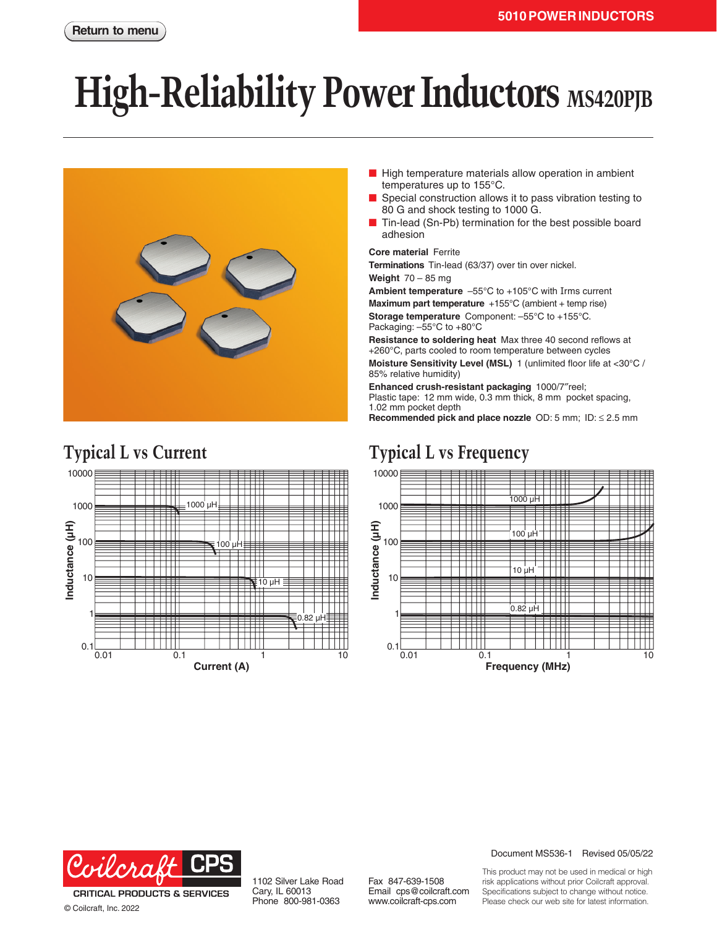# **High-Reliability Power Inductors MS420PJB**



### 10000 1000 µH1000 Inductance (µH) **Inductance (µH)** ┯ 100 100 µH ╥╥ 10  $\overline{\mathbf{N}}$ 10  $\overline{\mathsf{uH}}$ 1 0.82 µH  $\perp$  $0.1\frac{1}{0.01}$ 0.01 0.1 1 10 **Current (A)**

- High temperature materials allow operation in ambient temperatures up to 155°C.
- Special construction allows it to pass vibration testing to 80 G and shock testing to 1000 G.
- Tin-lead (Sn-Pb) termination for the best possible board adhesion

### **Core material** Ferrite

**Terminations** Tin-lead (63/37) over tin over nickel.

**Weight** 70 – 85 mg

**Ambient temperature** –55°C to +105°C with Irms current

**Maximum part temperature** +155°C (ambient + temp rise)

**Storage temperature** Component: –55°C to +155°C. Packaging: –55°C to +80°C

**Resistance to soldering heat** Max three 40 second reflows at +260°C, parts cooled to room temperature between cycles

**Moisture Sensitivity Level (MSL)** 1 (unlimited floor life at <30°C / 85% relative humidity)

**Enhanced crush-resistant packaging** 1000/7″reel; Plastic tape: 12 mm wide, 0.3 mm thick, 8 mm pocket spacing, 1.02 mm pocket depth

**Recommended pick and place nozzle** OD: 5 mm; ID: ≤ 2.5 mm

### **Typical L vs Current Typical L vs Frequency**





© Coilcraft, Inc. 2022

1102 Silver Lake Road Cary, IL 60013 Phone 800-981-0363

Fax 847-639-1508 Email cps@coilcraft.com www.coilcraft-cps.com

Document MS536-1 Revised 05/05/22

This product may not be used in medical or high risk applications without prior Coilcraft approval. Specifications subject to change without notice. Please check our web site for latest information.